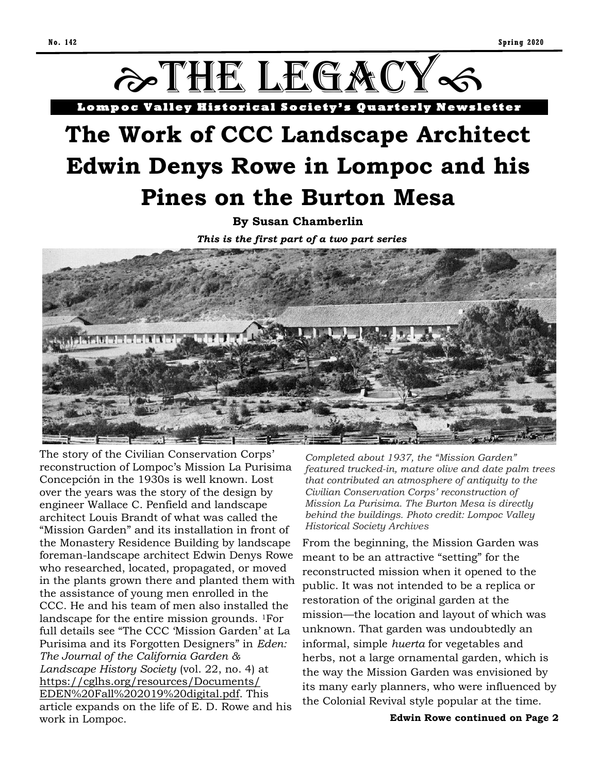

*This is the first part of a two part series*



The story of the Civilian Conservation Corps' reconstruction of Lompoc's Mission La Purisima Concepción in the 1930s is well known. Lost over the years was the story of the design by engineer Wallace C. Penfield and landscape architect Louis Brandt of what was called the "Mission Garden" and its installation in front of the Monastery Residence Building by landscape foreman-landscape architect Edwin Denys Rowe who researched, located, propagated, or moved in the plants grown there and planted them with the assistance of young men enrolled in the CCC. He and his team of men also installed the landscape for the entire mission grounds. 1For full details see "The CCC 'Mission Garden' at La Purisima and its Forgotten Designers" in *Eden: The Journal of the California Garden & Landscape History Society* (vol. 22, no. 4) at [https://cglhs.org/resources/Documents/](https://cglhs.org/resources/Documents/EDEN%20Fall%202019%20digital.pdf) [EDEN%20Fall%202019%20digital.pdf.](https://cglhs.org/resources/Documents/EDEN%20Fall%202019%20digital.pdf) This article expands on the life of E. D. Rowe and his work in Lompoc.

*Completed about 1937, the "Mission Garden" featured trucked-in, mature olive and date palm trees that contributed an atmosphere of antiquity to the Civilian Conservation Corps' reconstruction of Mission La Purisima. The Burton Mesa is directly behind the buildings. Photo credit: Lompoc Valley Historical Society Archives*

From the beginning, the Mission Garden was meant to be an attractive "setting" for the reconstructed mission when it opened to the public. It was not intended to be a replica or restoration of the original garden at the mission—the location and layout of which was unknown. That garden was undoubtedly an informal, simple *huerta* for vegetables and herbs, not a large ornamental garden, which is the way the Mission Garden was envisioned by its many early planners, who were influenced by the Colonial Revival style popular at the time.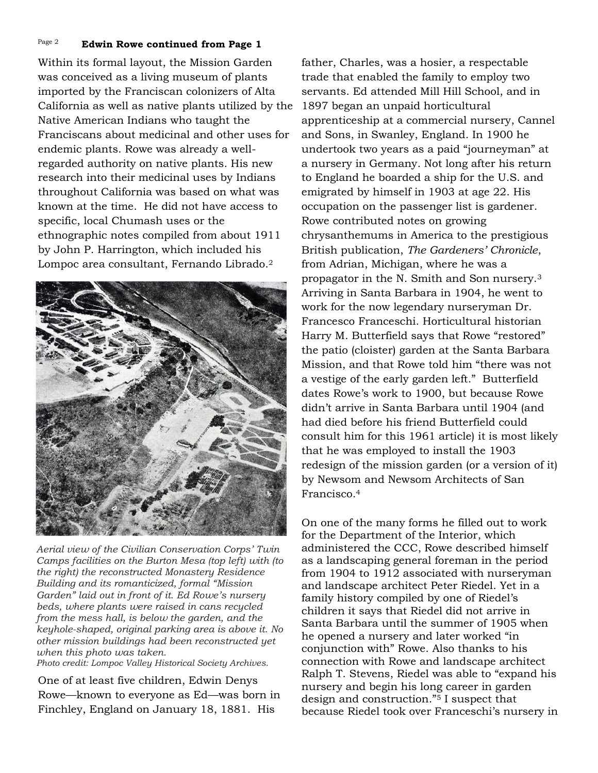#### Page 2 **Edwin Rowe continued from Page 1**

research into their medicinal uses by Indians throughout California was based on what was *Pat Walsh.*  known at the time. He did not have access to Within its formal layout, the Mission Garden was conceived as a living museum of plants imported by the Franciscan colonizers of Alta California as well as native plants utilized by the Native American Indians who taught the Franciscans about medicinal and other uses for endemic plants. Rowe was already a wellregarded authority on native plants. His new specific, local Chumash uses or the ethnographic notes compiled from about 1911 by John P. Harrington, which included his Lompoc area consultant, Fernando Librado.<sup>2</sup>



*Aerial view of the Civilian Conservation Corps' Twin Camps facilities on the Burton Mesa (top left) with (to the right) the reconstructed Monastery Residence Building and its romanticized, formal "Mission Garden" laid out in front of it. Ed Rowe's nursery beds, where plants were raised in cans recycled from the mess hall, is below the garden, and the keyhole-shaped, original parking area is above it. No other mission buildings had been reconstructed yet when this photo was taken.*

*Photo credit: Lompoc Valley Historical Society Archives.*

One of at least five children, Edwin Denys Rowe—known to everyone as Ed—was born in Finchley, England on January 18, 1881. His

father, Charles, was a hosier, a respectable trade that enabled the family to employ two servants. Ed attended Mill Hill School, and in 1897 began an unpaid horticultural apprenticeship at a commercial nursery, Cannel and Sons, in Swanley, England. In 1900 he undertook two years as a paid "journeyman" at a nursery in Germany. Not long after his return to England he boarded a ship for the U.S. and emigrated by himself in 1903 at age 22. His occupation on the passenger list is gardener. Rowe contributed notes on growing chrysanthemums in America to the prestigious British publication, *The Gardeners' Chronicle*, from Adrian, Michigan, where he was a propagator in the N. Smith and Son nursery.<sup>3</sup> Arriving in Santa Barbara in 1904, he went to work for the now legendary nurseryman Dr. Francesco Franceschi. Horticultural historian Harry M. Butterfield says that Rowe "restored" the patio (cloister) garden at the Santa Barbara Mission, and that Rowe told him "there was not a vestige of the early garden left." Butterfield dates Rowe's work to 1900, but because Rowe didn't arrive in Santa Barbara until 1904 (and had died before his friend Butterfield could consult him for this 1961 article) it is most likely that he was employed to install the 1903 redesign of the mission garden (or a version of it) by Newsom and Newsom Architects of San Francisco.<sup>4</sup>

On one of the many forms he filled out to work for the Department of the Interior, which administered the CCC, Rowe described himself as a landscaping general foreman in the period from 1904 to 1912 associated with nurseryman and landscape architect Peter Riedel. Yet in a family history compiled by one of Riedel's children it says that Riedel did not arrive in Santa Barbara until the summer of 1905 when he opened a nursery and later worked "in conjunction with" Rowe. Also thanks to his connection with Rowe and landscape architect Ralph T. Stevens, Riedel was able to "expand his nursery and begin his long career in garden design and construction."<sup>5</sup> I suspect that because Riedel took over Franceschi's nursery in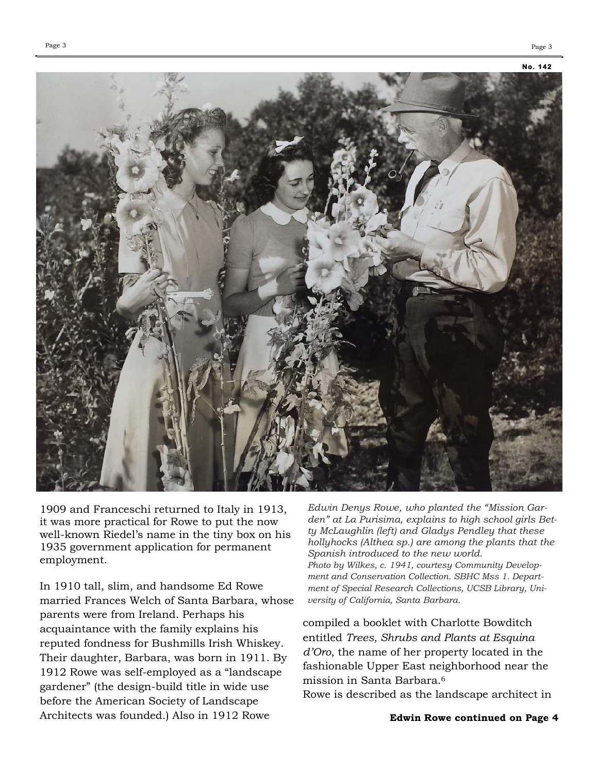

1909 and Franceschi returned to Italy in 1913, it was more practical for Rowe to put the now well-known Riedel's name in the tiny box on his 1935 government application for permanent employment.

In 1910 tall, slim, and handsome Ed Rowe married Frances Welch of Santa Barbara, whose parents were from Ireland. Perhaps his acquaintance with the family explains his reputed fondness for Bushmills Irish Whiskey. Their daughter, Barbara, was born in 1911. By 1912 Rowe was self-employed as a "landscape gardener" (the design-build title in wide use before the American Society of Landscape Architects was founded.) Also in 1912 Rowe

*Edwin Denys Rowe, who planted the "Mission Garden" at La Purisima, explains to high school girls Betty McLaughlin (left) and Gladys Pendley that these hollyhocks (Althea sp.) are among the plants that the Spanish introduced to the new world. Photo by Wilkes, c. 1941, courtesy Community Development and Conservation Collection. SBHC Mss 1. Department of Special Research Collections, UCSB Library, University of California, Santa Barbara.*

compiled a booklet with Charlotte Bowditch entitled *Trees, Shrubs and Plants at Esquina d'Oro*, the name of her property located in the fashionable Upper East neighborhood near the mission in Santa Barbara.<sup>6</sup>

Rowe is described as the landscape architect in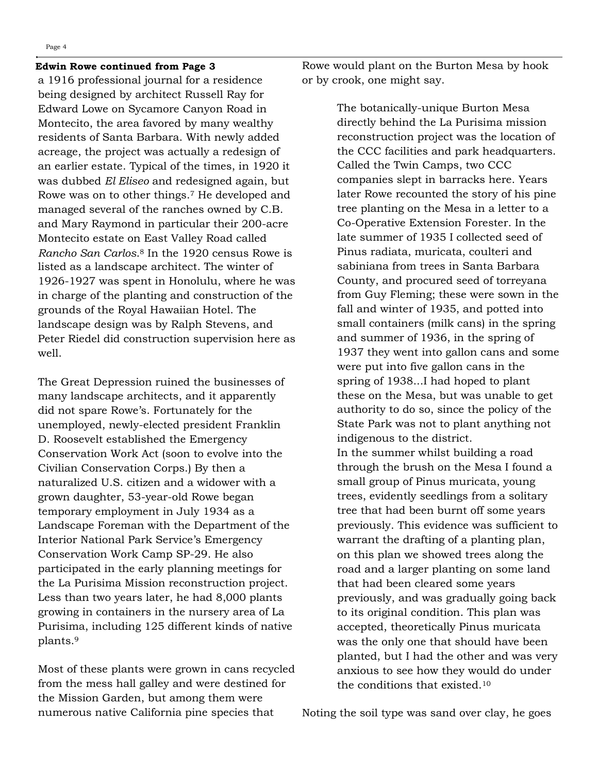## **Edwin Rowe continued from Page 3**

a 1916 professional journal for a residence being designed by architect Russell Ray for Edward Lowe on Sycamore Canyon Road in Montecito, the area favored by many wealthy residents of Santa Barbara. With newly added acreage, the project was actually a redesign of an earlier estate. Typical of the times, in 1920 it was dubbed *El Eliseo* and redesigned again, but Rowe was on to other things.<sup>7</sup> He developed and managed several of the ranches owned by C.B. and Mary Raymond in particular their 200-acre Montecito estate on East Valley Road called *Rancho San Carlos*. <sup>8</sup> In the 1920 census Rowe is listed as a landscape architect. The winter of 1926-1927 was spent in Honolulu, where he was in charge of the planting and construction of the grounds of the Royal Hawaiian Hotel. The landscape design was by Ralph Stevens, and Peter Riedel did construction supervision here as well.

The Great Depression ruined the businesses of many landscape architects, and it apparently did not spare Rowe's. Fortunately for the unemployed, newly-elected president Franklin D. Roosevelt established the Emergency Conservation Work Act (soon to evolve into the Civilian Conservation Corps.) By then a naturalized U.S. citizen and a widower with a grown daughter, 53-year-old Rowe began temporary employment in July 1934 as a Landscape Foreman with the Department of the Interior National Park Service's Emergency Conservation Work Camp SP-29. He also participated in the early planning meetings for the La Purisima Mission reconstruction project. Less than two years later, he had 8,000 plants growing in containers in the nursery area of La Purisima, including 125 different kinds of native plants.<sup>9</sup>

Most of these plants were grown in cans recycled from the mess hall galley and were destined for the Mission Garden, but among them were numerous native California pine species that

Rowe would plant on the Burton Mesa by hook or by crook, one might say.

> The botanically-unique Burton Mesa directly behind the La Purisima mission reconstruction project was the location of the CCC facilities and park headquarters. Called the Twin Camps, two CCC companies slept in barracks here. Years later Rowe recounted the story of his pine tree planting on the Mesa in a letter to a Co-Operative Extension Forester. In the late summer of 1935 I collected seed of Pinus radiata, muricata, coulteri and sabiniana from trees in Santa Barbara County, and procured seed of torreyana from Guy Fleming; these were sown in the fall and winter of 1935, and potted into small containers (milk cans) in the spring and summer of 1936, in the spring of 1937 they went into gallon cans and some were put into five gallon cans in the spring of 1938...I had hoped to plant these on the Mesa, but was unable to get authority to do so, since the policy of the State Park was not to plant anything not indigenous to the district. In the summer whilst building a road through the brush on the Mesa I found a small group of Pinus muricata, young trees, evidently seedlings from a solitary tree that had been burnt off some years previously. This evidence was sufficient to warrant the drafting of a planting plan, on this plan we showed trees along the road and a larger planting on some land that had been cleared some years previously, and was gradually going back to its original condition. This plan was accepted, theoretically Pinus muricata was the only one that should have been planted, but I had the other and was very anxious to see how they would do under the conditions that existed.<sup>10</sup>

Noting the soil type was sand over clay, he goes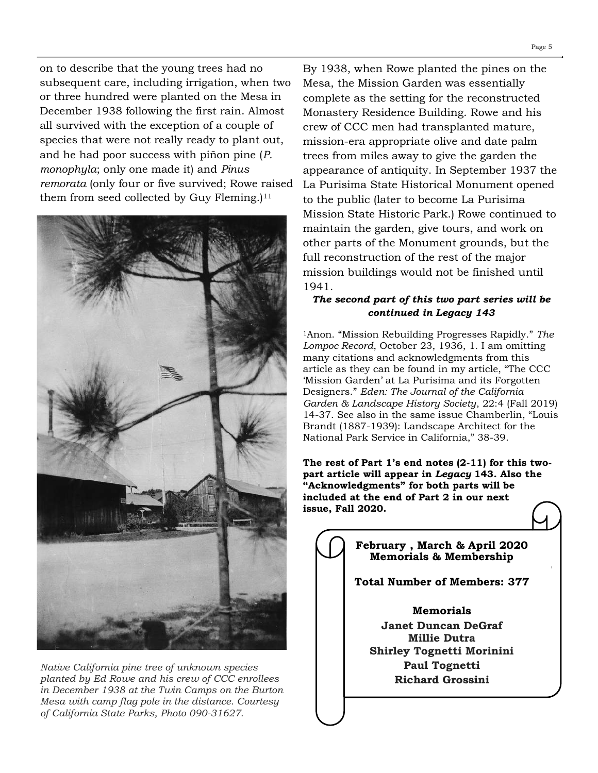on to describe that the young trees had no subsequent care, including irrigation, when two or three hundred were planted on the Mesa in December 1938 following the first rain. Almost all survived with the exception of a couple of species that were not really ready to plant out, and he had poor success with piñon pine (*P. monophyla*; only one made it) and *Pinus remorata* (only four or five survived; Rowe raised them from seed collected by Guy Fleming.)<sup>11</sup>



*Native California pine tree of unknown species planted by Ed Rowe and his crew of CCC enrollees in December 1938 at the Twin Camps on the Burton Mesa with camp flag pole in the distance. Courtesy of California State Parks, Photo 090-31627.*

By 1938, when Rowe planted the pines on the Mesa, the Mission Garden was essentially complete as the setting for the reconstructed Monastery Residence Building. Rowe and his crew of CCC men had transplanted mature, mission-era appropriate olive and date palm trees from miles away to give the garden the appearance of antiquity. In September 1937 the La Purisima State Historical Monument opened to the public (later to become La Purisima Mission State Historic Park.) Rowe continued to maintain the garden, give tours, and work on other parts of the Monument grounds, but the full reconstruction of the rest of the major mission buildings would not be finished until 1941.

## *The second part of this two part series will be continued in Legacy 143*

<sup>1</sup>Anon. "Mission Rebuilding Progresses Rapidly." *The Lompoc Record*, October 23, 1936, 1. I am omitting many citations and acknowledgments from this article as they can be found in my article, "The CCC 'Mission Garden' at La Purisima and its Forgotten Designers." *Eden: The Journal of the California Garden & Landscape History Society*, 22:4 (Fall 2019) 14-37. See also in the same issue Chamberlin, "Louis Brandt (1887-1939): Landscape Architect for the National Park Service in California," 38-39.

**The rest of Part 1's end notes (2-11) for this twopart article will appear in** *Legacy* **143. Also the "Acknowledgments" for both parts will be included at the end of Part 2 in our next issue, Fall 2020.**

**February , March & April 2020 Memorials & Membership Total Number of Members: 377 Memorials Janet Duncan DeGraf Millie Dutra Shirley Tognetti Morinini Paul Tognetti**

**Richard Grossini**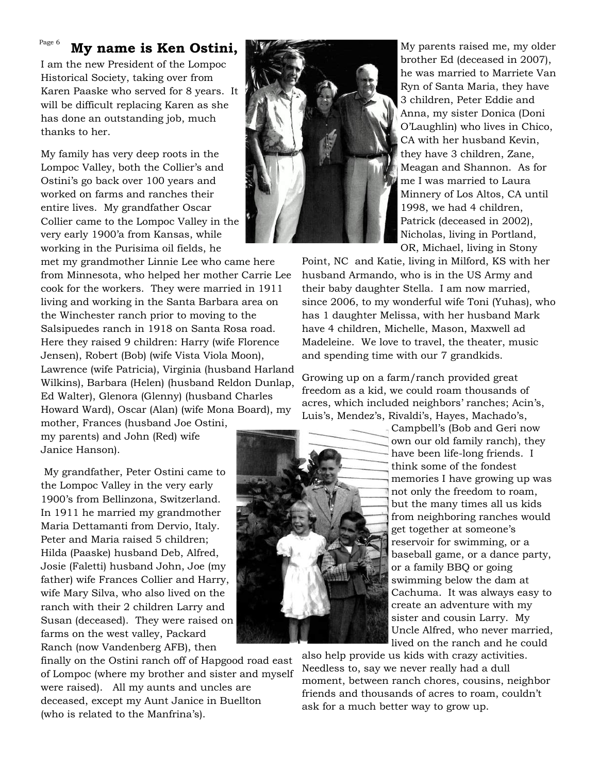### **My name is Ken Ostini,**  Page 6

I am the new President of the Lompoc Historical Society, taking over from Karen Paaske who served for 8 years. It will be difficult replacing Karen as she has done an outstanding job, much thanks to her.

My family has very deep roots in the Lompoc Valley, both the Collier's and Ostini's go back over 100 years and worked on farms and ranches their entire lives. My grandfather Oscar Collier came to the Lompoc Valley in the very early 1900'a from Kansas, while working in the Purisima oil fields, he

met my grandmother Linnie Lee who came here from Minnesota, who helped her mother Carrie Lee cook for the workers. They were married in 1911 living and working in the Santa Barbara area on the Winchester ranch prior to moving to the Salsipuedes ranch in 1918 on Santa Rosa road. Here they raised 9 children: Harry (wife Florence Jensen), Robert (Bob) (wife Vista Viola Moon), Lawrence (wife Patricia), Virginia (husband Harland Wilkins), Barbara (Helen) (husband Reldon Dunlap, Ed Walter), Glenora (Glenny) (husband Charles Howard Ward), Oscar (Alan) (wife Mona Board), my

mother, Frances (husband Joe Ostini, my parents) and John (Red) wife Janice Hanson).

My grandfather, Peter Ostini came to the Lompoc Valley in the very early 1900's from Bellinzona, Switzerland. In 1911 he married my grandmother Maria Dettamanti from Dervio, Italy. Peter and Maria raised 5 children; Hilda (Paaske) husband Deb, Alfred, Josie (Faletti) husband John, Joe (my father) wife Frances Collier and Harry, wife Mary Silva, who also lived on the ranch with their 2 children Larry and Susan (deceased). They were raised on farms on the west valley, Packard Ranch (now Vandenberg AFB), then

finally on the Ostini ranch off of Hapgood road east of Lompoc (where my brother and sister and myself were raised). All my aunts and uncles are deceased, except my Aunt Janice in Buellton (who is related to the Manfrina's).



My parents raised me, my older brother Ed (deceased in 2007), he was married to Marriete Van Ryn of Santa Maria, they have 3 children, Peter Eddie and Anna, my sister Donica (Doni O'Laughlin) who lives in Chico, CA with her husband Kevin, they have 3 children, Zane, Meagan and Shannon. As for me I was married to Laura Minnery of Los Altos, CA until 1998, we had 4 children, Patrick (deceased in 2002), Nicholas, living in Portland, OR, Michael, living in Stony

Point, NC and Katie, living in Milford, KS with her husband Armando, who is in the US Army and their baby daughter Stella. I am now married, since 2006, to my wonderful wife Toni (Yuhas), who has 1 daughter Melissa, with her husband Mark have 4 children, Michelle, Mason, Maxwell ad Madeleine. We love to travel, the theater, music and spending time with our 7 grandkids.

Growing up on a farm/ranch provided great freedom as a kid, we could roam thousands of acres, which included neighbors' ranches; Acin's, Luis's, Mendez's, Rivaldi's, Hayes, Machado's,



Campbell's (Bob and Geri now own our old family ranch), they have been life-long friends. I think some of the fondest memories I have growing up was not only the freedom to roam, but the many times all us kids from neighboring ranches would get together at someone's reservoir for swimming, or a baseball game, or a dance party, or a family BBQ or going swimming below the dam at Cachuma. It was always easy to create an adventure with my sister and cousin Larry. My Uncle Alfred, who never married, lived on the ranch and he could

also help provide us kids with crazy activities. Needless to, say we never really had a dull moment, between ranch chores, cousins, neighbor friends and thousands of acres to roam, couldn't ask for a much better way to grow up.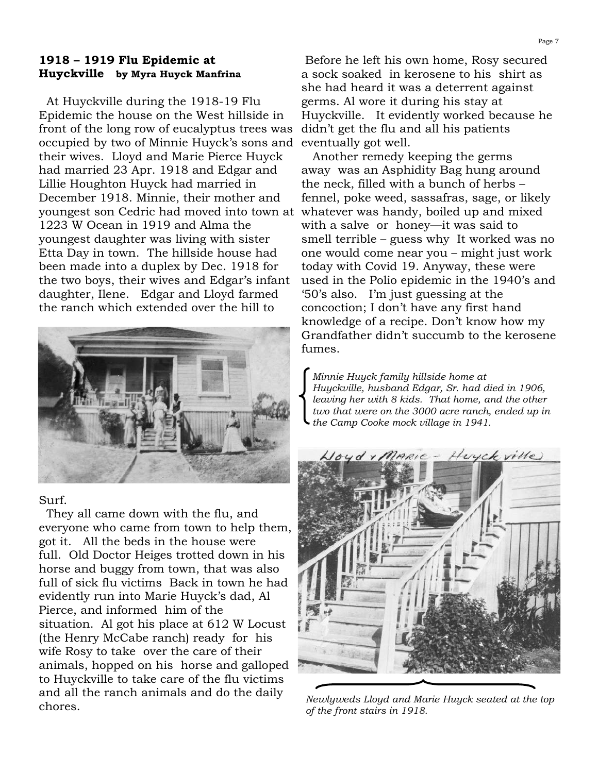## **1918 – 1919 Flu Epidemic at Huyckville by Myra Huyck Manfrina**

 At Huyckville during the 1918-19 Flu Epidemic the house on the West hillside in front of the long row of eucalyptus trees was occupied by two of Minnie Huyck's sons and their wives. Lloyd and Marie Pierce Huyck had married 23 Apr. 1918 and Edgar and Lillie Houghton Huyck had married in December 1918. Minnie, their mother and youngest son Cedric had moved into town at 1223 W Ocean in 1919 and Alma the youngest daughter was living with sister Etta Day in town. The hillside house had been made into a duplex by Dec. 1918 for the two boys, their wives and Edgar's infant daughter, Ilene. Edgar and Lloyd farmed the ranch which extended over the hill to



## Surf.

They all came down with the flu, and everyone who came from town to help them, got it. All the beds in the house were full. Old Doctor Heiges trotted down in his horse and buggy from town, that was also full of sick flu victims Back in town he had evidently run into Marie Huyck's dad, Al Pierce, and informed him of the situation. Al got his place at 612 W Locust (the Henry McCabe ranch) ready for his wife Rosy to take over the care of their animals, hopped on his horse and galloped to Huyckville to take care of the flu victims and all the ranch animals and do the daily chores.

Before he left his own home, Rosy secured a sock soaked in kerosene to his shirt as she had heard it was a deterrent against germs. Al wore it during his stay at Huyckville. It evidently worked because he didn't get the flu and all his patients eventually got well.

 Another remedy keeping the germs away was an Asphidity Bag hung around the neck, filled with a bunch of herbs – fennel, poke weed, sassafras, sage, or likely whatever was handy, boiled up and mixed with a salve or honey—it was said to smell terrible – guess why It worked was no one would come near you – might just work today with Covid 19. Anyway, these were used in the Polio epidemic in the 1940's and '50's also. I'm just guessing at the concoction; I don't have any first hand knowledge of a recipe. Don't know how my Grandfather didn't succumb to the kerosene fumes.

*Minnie Huyck family hillside home at Huyckville, husband Edgar, Sr. had died in 1906, leaving her with 8 kids. That home, and the other two that were on the 3000 acre ranch, ended up in the Camp Cooke mock village in 1941.*



*Newlyweds Lloyd and Marie Huyck seated at the top of the front stairs in 1918.*